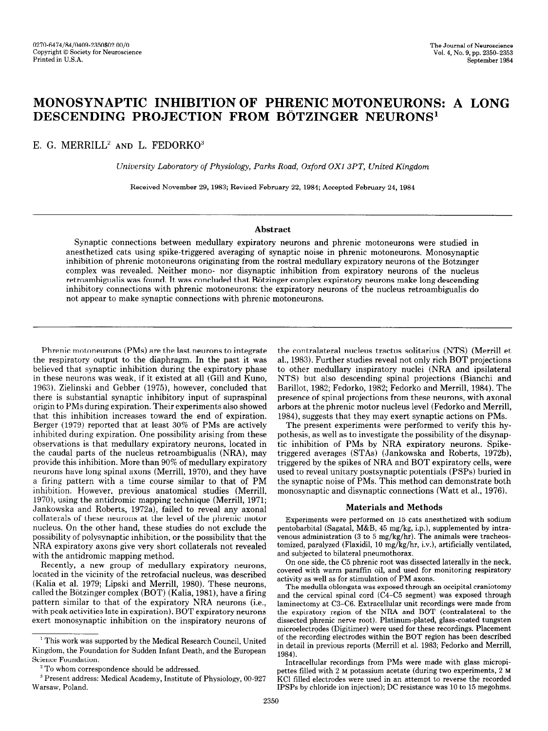# MONOSYNAPTIC INHIBITION OF PHRENIC MOTONEURONS: A LONG DESCENDING PROJECTION FROM BÖTZINGER NEURONS<sup>1</sup>

E. G. MERRILL<sup>2</sup> AND L. FEDORKO<sup>3</sup>

University Laboratory of Physiology, Parks Road, Oxford OX1 3PT, United Kingdom

Received November 29,1983; Revised February 22,1984; Accepted February 24, 1984

# Abstract

Synaptic connections between medullary expiratory neurons and phrenic motoneurons were studied in anesthetized cats using spike-triggered averaging of synaptic noise in phrenic motoneurons. Monosynaptic inhibition of phrenic motoneurons originating from the rostra1 medullary expiratory neurons of the Botzinger complex was revealed. Neither mono- nor disynaptic inhibition from expiratory neurons of the nucleus retroambigualis was found. It was concluded that Bötzinger complex expiratory neurons make long descending inhibitory connections with phrenic motoneurons: the expiratory neurons of the nucleus retroambigualis do not appear to make synaptic connections with phrenic motoneurons.

Phrenic motoneurons (PMs) are the last neurons to integrate the respiratory output to the diaphragm. In the past it was believed that synaptic inhibition during the expiratory phase in these neurons was weak, if it existed at all (Gill and Kuno, 1963). Zielinski and Gebber (1975), however, concluded that there is substantial synaptic inhibitory input of supraspinal origin to PMs during expiration. Their experiments also showed that this inhibition increases toward the end of expiration. Berger (1979) reported that at least 30% of PMs are actively inhibited during expiration. One possibility arising from these minored daring expiration. One possibility among from these observations is that incumity explicitly neurons, located in the caudal parts of the nucleus retroambigualis (NRA), may provide this inhibition. More than 90% of medullary expiratory neurons have long spinal axons (Merrill, 1970), and they have a firing pattern with a time course similar to that of PM inhibition. However, previous anatomical studies (Merrill,  $1970$ , using the anti-dromatic material mapping the anti-dromatic mapping technique (Merrilli, 1971; 1971; 1971; 1971; 1971; 1971; 1971; 1971; 1971; 1971; 1971; 1971; 1971; 1971; 1971; 1971; 1971; 1971; 1971; 1971; 1971;  $\frac{1370}{100}$ , using the antitutomic mapping technique (iverrint,  $\frac{1371}{1000}$ Jankowska and Roberts, 1972a), failed to reveal any axonal collaterals of these neurons at the level of the phrenic motor nucleus. On the other hand, these studies do not exclude the possibility of polysynaptic inhibition, or the possibility that the NRA expiratory axons give very short collaterals not revealed with the antidromic mapping method.

Recently, a new group of medullary expiratory neurons, located in the vicinity of the retrofacial nucleus, was described (Kalia et al. 1979; Lipski and Merrill, 1980). These neurons, called the Bötzinger complex (BOT) (Kalia, 1981), have a firing pattern similar to that of the expiratory NRA neurons (i.e., with peak activities late in expiration). BOT expiratory neurons exert monosynaptic inhibition on the inspiratory neurons of

the contralateral nucleus tractus solitarius (NTS) (Merrill et al., 1983). Further studies reveal not only rich BOT projections to other medullary inspiratory nuclei (NRA and ipsilateral NTS) but also descending spinal projections (Bianchi and Barillot, 1982; Fedorko, 1982; Fedorko and Merrill, 1984). The presence of spinal projections from these neurons, with axonal arbors at the phrenic motor nucleus level (Fedorko and Merrill, 1984), suggests that they may exert synaptic actions on PMs.

The present experiments were performed to verify this hypothesis, as well as to investigate the possibility of the disynaptic inhibition of PMs by NRA expiratory neurons. Spiketriggered averages (STAs) (Jankowska and Roberts, 1972b), triggered averages  $(0.116)$  (ballionska and Hoberts, 1972b)  $\frac{1}{2}$  the spinal unitary and  $\frac{1}{2}$  capitality cents, were used to reveal unitary postsynaptic potentials (PSPs) buried in the synaptic noise of PMs. This method can demonstrate both monosynaptic and disynaptic connections (Watt et al., 1976).

#### Materials and Methods

Experiments were performed on 15 cats anesthetized with sodium Experiments were performed on 15 cats anesthetized with social pentobarbital (Sagatal, M&B, 45 mg/kg, i.p.), supplemented by intravenous administration (3 to 5 mg/kg/hr). The animals were tracheostomized, paralyzed (Flaxidil, 10 mg/kg/hr, i.v.), artificially ventilated, and subjected to bilateral pneumothorax.

On one side, the C5 phrenic root was dissected laterally in the neck, covered with warm paraffin oil, and used for monitoring respiratory activity as well as for stimulation of PM axons.

The medulla oblongata was exposed through an occipital craniotomy and the cervical spinal cord  $(C4-C5$  segment) was exposed through laminectomy at C3-C6. Extracellular unit recordings were made from the expiratory region of the NRA and BOT (contralateral to the dissected phrenic nerve root). Platinum-plated, glass-coated tungsten microelectrodes (Digitimer) were used for these recordings. Placement of the recording electrodes within the BOT region has been described in detail in previous reports (Merrill et al. 1983; Fedorko and Merrill, 1984).  $84$ ).

Intracellular recordings from PMs were made with glass micropipettes filled with  $2 \text{ M}$  potassium acetate (during two experiments,  $2 \text{ M}$ KCI filled electrodes were used in an attempt to reverse the recorded IPSPs by chloride ion injection); DC resistance was 10 to 15 megohms.

<sup>&#</sup>x27; This work was supported by the Medical Research Council, United By the Medical Research Council, United By the Medical Research Council, United By the Medical Research Council, United By the Medical Research Council, Uni  $1$  This work was supported by the Medical Research Council, United Kingdom, the Foundation for Sudden Infant Death, and the European Science Foundation.

 $2^2$  To whom correspondence should be addressed.

<sup>&</sup>lt;sup>3</sup> Present address: Medical Academy, Institute of Physiology, 00-927 Warsaw, Poland.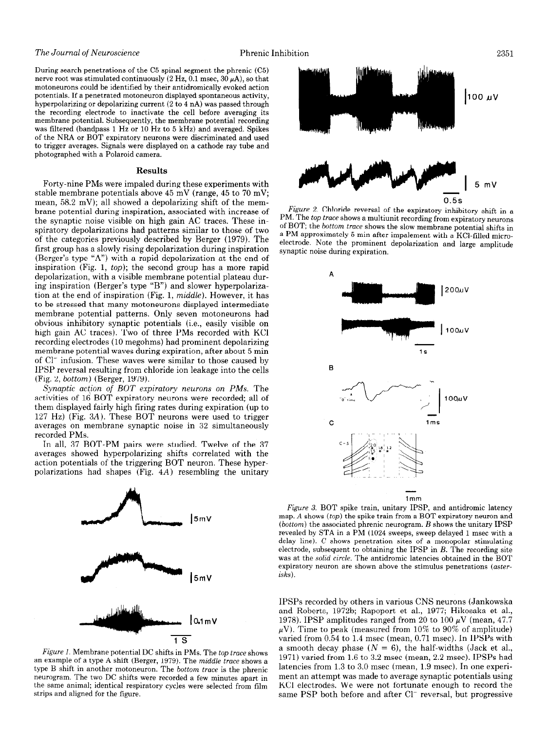### The Journal of Neuroscience Phrenic Inhibition

During search penetrations of the C5 spinal segment the phrenic (C5) nerve root was stimulated continuously (2 Hz, 0.1 msec,  $30 \mu$ A), so that motoneurons could be identified by their antidromically evoked action potentials. If a penetrated motoneuron displayed spontaneous activity, hyperpolarizing or depolarizing current (2 to 4 nA) was passed through the recording electrode to inactivate the cell before averaging its membrane potential. Subsequently, the membrane potential recording was filtered (bandpass 1 Hz or 10 Hz to 5 kHz) and averaged. Spikes of the NRA or BOT expiratory neurons were discriminated and used to trigger averages. Signals were displayed on a cathode ray tube and photographed with a Polaroid camera.

## Results

Forty-nine PMs were impaled during these experiments with stable membrane potentials above 45 mV (range, 45 to 70 mV; mean, 58.2 mV); all showed a depolarizing shift of the membrane potential during inspiration, associated with increase of the synaptic noise visible on high gain AC traces. These inspiratory depolarizations had patterns similar to those of two of the categories previously described by Berger (1979). The first group has a slowly rising depolarization during inspiration (Berger's type "A") with a rapid depolarization at the end of inspiration (Fig. 1, top); the second group has a more rapid depolarization, with a visible membrane potential plateau during inspiration (Berger's type "B") and slower hyperpolarization at the end of inspiration (Fig. 1, middle). However, it has to be stressed that many motoneurons displayed intermediate membrane potential patterns. Only seven motoneurons had obvious inhibitory synaptic potentials (i.e., easily visible on high gain AC traces). Two of three PMs recorded with KC1 recording electrodes (10 megohms) had prominent depolarizing membrane potential waves during expiration, after about 5 min of Cl<sup>-</sup> infusion. These waves were similar to those caused by IPSP reversal resulting from chloride ion leakage into the cells (Fig. 2, bottom) (Berger, 1979).

Synaptic action of BOT expiratory neurons on PMs. The activities of 16 BOT expiratory neurons were recorded, all of them displayed fairly high firing rates during expiration (up to 127 Hz) (Fig. 3A). These BOT neurons were used to trigger averages on membrane synaptic noise in 32 simultaneously recorded PMs.

In all, 37 BOT-PM pairs were studied. Twelve of the 37 averages showed hyperpolarizing shifts correlated with the averages showed hyperpolarizing shines correlated with the action potentials of the triggering DOT field on. These hyper



Figure 1. Membrane potential DC shifts in PMs. The top trace shows an example of a type A shift (Berger, 1979). The middle trace shows a type B shift in another motoneuron. The bottom trace is the phrenic neurogram. The two DC shifts were recorded a few minutes apart in the same animal; identical respiratory cycles were selected from film strips and aligned for the figure.



Figure 2. Chloride reversal of the expiratory inhibitory shift in a PM. The top trace shows a multiunit recording from expiratory neurons of BOT; the bottom trace shows the slow membrane potential shifts in a PM approximately 5 min after impalement with a KCl-filled microelectrode. Note the prominent depolarization and large amplitude synaptic noise during expiration.



 $\Gamma$  igure 5. BOT spike train, unitary it  $\overline{ST}$ , and antiuroning fatches map.  $A$  shows  $(top)$  the spike train from a BOT expiratory neuron and (bottom) the associated phrenic neurogram.  $B$  shows the unitary IPSP revealed by STA in a PM (1024 sweeps, sweep delayed 1 msec with a delay line). C shows penetration sites of a monopolar stimulating electrode, subsequent to obtaining the IPSP in  $B$ . The recording site was at the solid circle. The antidromic latencies obtained in the BOT expiratory neuron are shown above the stimulus penetrations (aster-<br> $i$ sks).

IPSPs recorded by others in various CNS neurons (Jankowska and Roberts, 1972b; Rapoport et al., 1977; Hikosaka et al., 1978). IPSP amplitudes ranged from 20 to 100  $\mu$ V (mean, 47.7  $\mu$ V). Time to peak (measured from 10% to 90% of amplitude) varied from  $0.54$  to 1.4 msec (mean,  $0.71$  msec). In IPSPs with a smooth decay phase  $(N = 6)$ , the half-widths (Jack et al., 1971) varied from 1.6 to 3.2 msec (mean,  $2.2$  msec). IPSPs had latencies from  $1.3$  to  $3.0$  msec (mean,  $1.9$  msec). In one experiment an attempt was made to average synaptic potentials using KCl electrodes. We were not fortunate enough to record the same PSP both before and after Cl<sup>-</sup> reversal, but progressive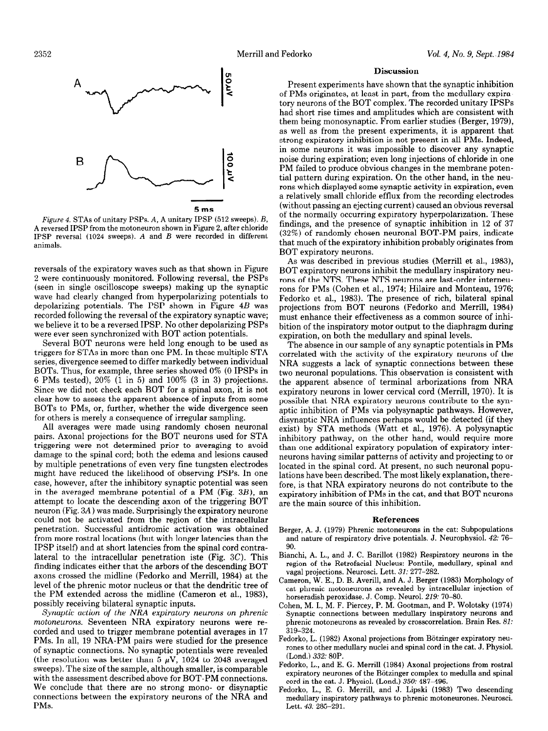

Figure 4. STAs of unitary PSPs. A, A unitary IPSP (512 sweeps). B, A reversed IPSP from the motoneuron shown in Figure 2, after chloride IPSP reversal (1024 sweeps). A and B were recorded in different animals.

reversals of the expiratory waves such as that shown in Figure 2 were continuously monitored. Following reversal, the PSPs (seen in single oscilloscope sweeps) making up the synaptic wave had clearly changed from hyperpolarizing potentials to depolarizing potentials. The PSP shown in Figure 4B was recorded following the reversal of the expiratory synaptic wave; we believe it to be a reversed IPSP. No other depolarizing PSPs were ever seen synchronized with BOT action potentials.

Several BOT neurons were held long enough to be used as triggers for STAs in more than one PM. In these multiple STA series, divergence seemed to differ markedly between individual BOTs. Thus, for example, three series showed 0% (0 IPSPs in 6 PMs tested), 20% (1 in 5) and 100% (3 in 3) projections. Since we did not check each BOT for a spinal axon, it is not clear how to assess the apparent absence of inputs from some BOTs to PMs, or, further, whether the wide divergence seen for others is merely a consequence of irregular sampling.

All averages were made using randomly chosen neuronal pairs. Axonal projections for the BOT neurons used for STA triggering were not determined prior to averaging to avoid damage to the spinal cord; both the edema and lesions caused damage to the spinal cord, both the edema and resions cause by multiple penetrations of even very fine tungsten electrones might have reduced the intermova or observing For s. In one  $\alpha$ in the averaged membrane potential of a PM  $\alpha$   $\beta$ in the averaged membrane potential of a PM (Fig.  $3B$ ), an attempt to locate the descending axon of the triggering BOT neuron (Fig.  $3A$ ) was made. Surprisingly the expiratory neurone could not be activated from the region of the intracellular penetration. Successful antidromic activation was obtained from more rostral locations (but with longer latencies than the IPSP itself) and at short latencies from the spinal cord contralateral to the intracellular penetration iste (Fig.  $3C$ ). This finding indicates either that the arbors of the descending BOT axons crossed the midline (Fedorko and Merrill, 1984) at the level of the phrenic motor nucleus or that the dendritic tree of the PM extended across the midline (Cameron et al., 1983), possibly receiving bilateral synaptic inputs.

Synaptic action of the NRA expiratory neurons on phrenic motoneurons. Seventeen NRA expiratory neurons were recorded and used to trigger membrane potential averages in 17 PMs. In all, 19 NRA-PM pairs were studied for the presence of synaptic connections. No synaptic potentials were revealed (the resolution was better than 5  $\mu$ V, 1024 to 2048 averaged sweeps). The size of the sample, although smaller, is comparable with the assessment described above for BOT-PM connections. We conclude that there are no strong mono- or disynaptic connections between the expiratory neurons of the NRA and PMs.

### Discussion

Present experiments have shown that the synaptic inhibition of PMs originates, at least in part, from the medullary expiratory neurons of the BOT complex. The recorded unitary IPSPs had short rise times and amplitudes which are consistent with them being monosynaptic. From earlier studies (Berger, 1979), as well as from the present experiments, it is apparent that strong expiratory inhibition is not present in all PMs. Indeed, in some neurons it was impossible to discover any synaptic noise during expiration; even long injections of chloride in one PM failed to produce obvious changes in the membrane potential pattern during expiration. On the other hand, in the neurons which displayed some synaptic activity in expiration, even a relatively small chloride efflux from the recording electrodes (without passing an ejecting current) caused an obvious reversal of the normally occurring expiratory hyperpolarization. These findings, and the presence of synaptic inhibition in 12 of 37 (32%) of randomly chosen neuronal BOT-PM pairs, indicate that much of the expiratory inhibition probably originates from BOT expiratory neurons.

As was described in previous studies (Merrill et al., 1983), BOT expiratory neurons inhibit the medullary inspiratory neurons of the NTS. These NTS neurons are last-order interneurons for PMs (Cohen et al., 1974; Hilaire and Monteau, 1976; Fedorko et al., 1983). The presence of rich, bilateral spinal projections from BOT neurons (Fedorko and Merrill, 1984) must enhance their effectiveness as a common source of inhibition of the inspiratory motor output to the diaphragm during expiration, on both the medullary and spinal levels.

The absence in our sample of any synaptic potentials in PMs correlated with the activity of the expiratory neurons of the NRA suggests a lack of synaptic connections between these two neuronal populations. This observation is consistent with the apparent absence of terminal arborizations from NRA expiratory neurons in lower cervical cord (Merrill, 1970). It is possible that NRA expiratory neurons contribute to the synaptic inhibition of PMs via polysynaptic pathways. However, disynaptic NRA influences perhaps would be detected (if they exist) by STA methods (Watt et al., 1976). A polysynaptic  $\frac{1}{1000}$  by path inconous (was count, 1979). If polysympon than one additional expiratory population of the control expiratory interthan one additional expiratory population of expiratory inter-<br>neurons having similar patterns of activity and projecting to or located in the spinal cord. At present, no such neuronal populotated in the spinal cord. At present, ho such hearonal pope fations have been described. The most likely explanation, there fore, is that NRA expiratory neurons do not contribute to the expiratory inhibition of PMs in the cat, and that BOT neurons are the main source of this inhibition.

#### References

- $B = \frac{1}{2}$ .  $\frac{1}{2}$   $\frac{1}{2}$   $\frac{1}{2}$   $\frac{1}{2}$   $\frac{1}{2}$   $\frac{1}{2}$   $\frac{1}{2}$   $\frac{1}{2}$   $\frac{1}{2}$   $\frac{1}{2}$   $\frac{1}{2}$   $\frac{1}{2}$   $\frac{1}{2}$   $\frac{1}{2}$   $\frac{1}{2}$   $\frac{1}{2}$   $\frac{1}{2}$   $\frac{1}{2}$   $\frac{1}{2}$   $\frac{1}{2}$   $\frac{1}{2}$  $r_{\text{ger}}$ , A. J. (1979) Phrenic motoneurons in the cat. Subpopulation. and nature of respiratory drive potentials. J. Neurophysiol. 42: 76-90.  $\mathfrak{so}.$
- anchi, A. L., and J. C. Barniot (1982) Respiratory neurons in the region of the Retrofacial Nucleus: Pontile, medullary, spinal and vagal projections. Neurosci. Lett. 31: 277-282.
- Cameron, W. E., D. B. Averill, and A. J. Berger (1983) Morphology of cat phrenic motoneurons as revealed by intracellular injection of horseradish peroxidase. J. Comp. Neurol. 219: 70-80.
- Cohen, M. I., M. F. Piercey, P. M. Gootman, and P. Wolotsky (1974) Synaptic connections between medullary inspiratory neurons and phrenic motoneurons as revealed by crosscorrelation. Brain Res. 81: 319-324.
- Fedorko, L. (1982) Axonal projections from Bötzinger expiratory neurones to other medullary nuclei and spinal cord in the cat. J. Physiol. (Lond.) 332: 80P.
- Fedorko, L., and E. G. Merrill (1984) Axonal projections from rostral expiratory neurones of the Bötzinger complex to medulla and spinal cord in the cat. J. Physiol. (Lond.)  $350:487-496$ .
- Fedorko, L., E. G. Merrill, and J. Lipski (1983) Two descending medullary inspiratory pathways to phrenic motoneurones. Neurosci. Lett. 43: 285-291.